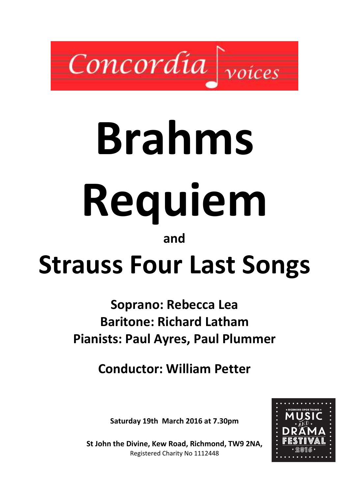

# Brahms Requiem

## and

## Strauss Four Last Songs

## Soprano: Rebecca Lea Baritone: Richard Latham Pianists: Paul Ayres, Paul Plummer

Conductor: William Petter

Saturday 19th March 2016 at 7.30pm



St John the Divine, Kew Road, Richmond, TW9 2NA, Registered Charity No 1112448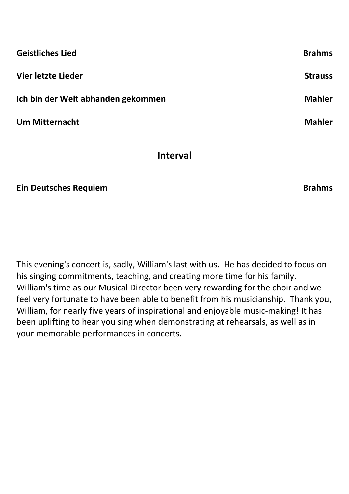| <b>Geistliches Lied</b>            | <b>Brahms</b>  |
|------------------------------------|----------------|
| Vier letzte Lieder                 | <b>Strauss</b> |
| Ich bin der Welt abhanden gekommen | <b>Mahler</b>  |
| <b>Um Mitternacht</b>              | <b>Mahler</b>  |

#### Interval

Ein Deutsches Requiem **Brahms** Brahms

This evening's concert is, sadly, William's last with us. He has decided to focus on his singing commitments, teaching, and creating more time for his family. William's time as our Musical Director been very rewarding for the choir and we feel very fortunate to have been able to benefit from his musicianship. Thank you, William, for nearly five years of inspirational and enjoyable music-making! It has been uplifting to hear you sing when demonstrating at rehearsals, as well as in your memorable performances in concerts.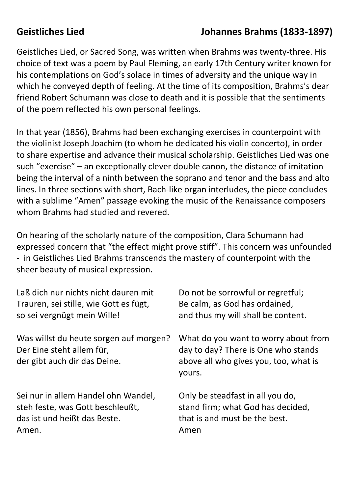## Geistliches Lied Johannes Brahms (1833-1897)

Geistliches Lied, or Sacred Song, was written when Brahms was twenty-three. His choice of text was a poem by Paul Fleming, an early 17th Century writer known for his contemplations on God's solace in times of adversity and the unique way in which he conveyed depth of feeling. At the time of its composition, Brahms's dear friend Robert Schumann was close to death and it is possible that the sentiments of the poem reflected his own personal feelings.

In that year (1856), Brahms had been exchanging exercises in counterpoint with the violinist Joseph Joachim (to whom he dedicated his violin concerto), in order to share expertise and advance their musical scholarship. Geistliches Lied was one such "exercise" – an exceptionally clever double canon, the distance of imitation being the interval of a ninth between the soprano and tenor and the bass and alto lines. In three sections with short, Bach-like organ interludes, the piece concludes with a sublime "Amen" passage evoking the music of the Renaissance composers whom Brahms had studied and revered.

On hearing of the scholarly nature of the composition, Clara Schumann had expressed concern that "the effect might prove stiff". This concern was unfounded - in Geistliches Lied Brahms transcends the mastery of counterpoint with the sheer beauty of musical expression.

| Laß dich nur nichts nicht dauren mit                                                                | Do not be sorrowful or regretful;                                                                                              |
|-----------------------------------------------------------------------------------------------------|--------------------------------------------------------------------------------------------------------------------------------|
| Trauren, sei stille, wie Gott es fügt,                                                              | Be calm, as God has ordained,                                                                                                  |
| so sei vergnügt mein Wille!                                                                         | and thus my will shall be content.                                                                                             |
| Was willst du heute sorgen auf morgen?<br>Der Eine steht allem für,<br>der gibt auch dir das Deine. | What do you want to worry about from<br>day to day? There is One who stands<br>above all who gives you, too, what is<br>yours. |
| Sei nur in allem Handel ohn Wandel,                                                                 | Only be steadfast in all you do,                                                                                               |
| steh feste, was Gott beschleußt,                                                                    | stand firm; what God has decided,                                                                                              |
| das ist und heißt das Beste.                                                                        | that is and must be the best.                                                                                                  |
| Amen.                                                                                               | Amen                                                                                                                           |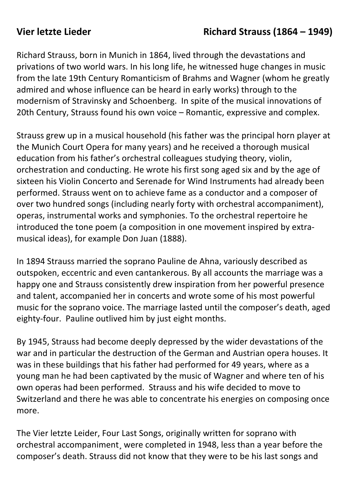#### Vier letzte Lieder **Richard Strauss (1864 – 1949)**

Richard Strauss, born in Munich in 1864, lived through the devastations and privations of two world wars. In his long life, he witnessed huge changes in music from the late 19th Century Romanticism of Brahms and Wagner (whom he greatly admired and whose influence can be heard in early works) through to the modernism of Stravinsky and Schoenberg. In spite of the musical innovations of 20th Century, Strauss found his own voice – Romantic, expressive and complex.

Strauss grew up in a musical household (his father was the principal horn player at the Munich Court Opera for many years) and he received a thorough musical education from his father's orchestral colleagues studying theory, violin, orchestration and conducting. He wrote his first song aged six and by the age of sixteen his Violin Concerto and Serenade for Wind Instruments had already been performed. Strauss went on to achieve fame as a conductor and a composer of over two hundred songs (including nearly forty with orchestral accompaniment), operas, instrumental works and symphonies. To the orchestral repertoire he introduced the tone poem (a composition in one movement inspired by extramusical ideas), for example Don Juan (1888).

In 1894 Strauss married the soprano Pauline de Ahna, variously described as outspoken, eccentric and even cantankerous. By all accounts the marriage was a happy one and Strauss consistently drew inspiration from her powerful presence and talent, accompanied her in concerts and wrote some of his most powerful music for the soprano voice. The marriage lasted until the composer's death, aged eighty-four. Pauline outlived him by just eight months.

By 1945, Strauss had become deeply depressed by the wider devastations of the war and in particular the destruction of the German and Austrian opera houses. It was in these buildings that his father had performed for 49 years, where as a young man he had been captivated by the music of Wagner and where ten of his own operas had been performed. Strauss and his wife decided to move to Switzerland and there he was able to concentrate his energies on composing once more.

The Vier letzte Leider, Four Last Songs, originally written for soprano with orchestral accompaniment¸ were completed in 1948, less than a year before the composer's death. Strauss did not know that they were to be his last songs and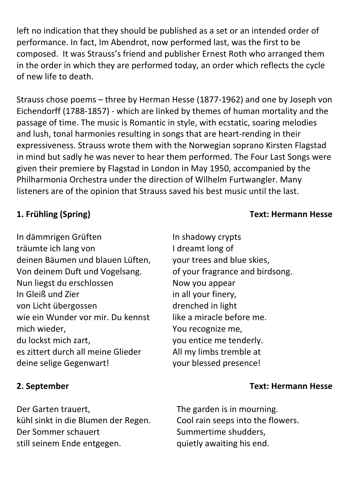left no indication that they should be published as a set or an intended order of performance. In fact, Im Abendrot, now performed last, was the first to be composed. It was Strauss's friend and publisher Ernest Roth who arranged them in the order in which they are performed today, an order which reflects the cycle of new life to death.

Strauss chose poems – three by Herman Hesse (1877-1962) and one by Joseph von Eichendorff (1788-1857) - which are linked by themes of human mortality and the passage of time. The music is Romantic in style, with ecstatic, soaring melodies and lush, tonal harmonies resulting in songs that are heart-rending in their expressiveness. Strauss wrote them with the Norwegian soprano Kirsten Flagstad in mind but sadly he was never to hear them performed. The Four Last Songs were given their premiere by Flagstad in London in May 1950, accompanied by the Philharmonia Orchestra under the direction of Wilhelm Furtwangler. Many listeners are of the opinion that Strauss saved his best music until the last.

#### In dämmrigen Grüften träumte ich lang von deinen Bäumen und blauen Lüften, Von deinem Duft und Vogelsang. Nun liegst du erschlossen In Gleiß und Zier von Licht übergossen wie ein Wunder vor mir. Du kennst mich wieder, du lockst mich zart, es zittert durch all meine Glieder deine selige Gegenwart!

Der Garten trauert, kühl sinkt in die Blumen der Regen. Der Sommer schauert still seinem Ende entgegen.

In shadowy crypts I dreamt long of your trees and blue skies, of your fragrance and birdsong. Now you appear in all your finery, drenched in light like a miracle before me. You recognize me, you entice me tenderly. All my limbs tremble at your blessed presence!

#### 2. September Text: Hermann Hesse

The garden is in mourning. Cool rain seeps into the flowers. Summertime shudders, quietly awaiting his end.

#### 1. Frühling (Spring) Text: Hermann Hesse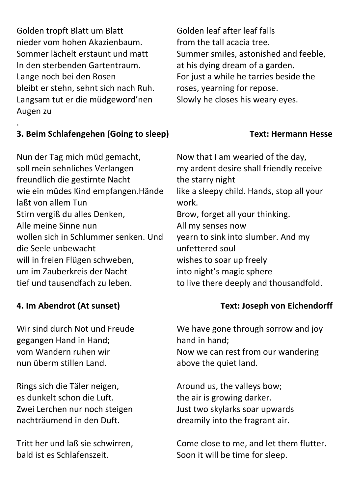Golden tropft Blatt um Blatt nieder vom hohen Akazienbaum. Sommer lächelt erstaunt und matt In den sterbenden Gartentraum. Lange noch bei den Rosen bleibt er stehn, sehnt sich nach Ruh. Langsam tut er die müdgeword'nen Augen zu

#### . 3. Beim Schlafengehen (Going to sleep) Text: Hermann Hesse

Nun der Tag mich müd gemacht, soll mein sehnliches Verlangen freundlich die gestirnte Nacht wie ein müdes Kind empfangen.Hände laßt von allem Tun Stirn vergiß du alles Denken, Alle meine Sinne nun wollen sich in Schlummer senken. Und die Seele unbewacht will in freien Flügen schweben, um im Zauberkreis der Nacht tief und tausendfach zu leben.

Wir sind durch Not und Freude gegangen Hand in Hand; vom Wandern ruhen wir nun überm stillen Land.

Rings sich die Täler neigen, es dunkelt schon die Luft. Zwei Lerchen nur noch steigen nachträumend in den Duft.

Tritt her und laß sie schwirren, bald ist es Schlafenszeit.

Golden leaf after leaf falls from the tall acacia tree. Summer smiles, astonished and feeble, at his dying dream of a garden. For just a while he tarries beside the roses, yearning for repose. Slowly he closes his weary eyes.

Now that I am wearied of the day, my ardent desire shall friendly receive the starry night like a sleepy child. Hands, stop all your work. Brow, forget all your thinking. All my senses now yearn to sink into slumber. And my unfettered soul wishes to soar up freely into night's magic sphere to live there deeply and thousandfold.

#### 4. Im Abendrot (At sunset) Text: Joseph von Eichendorff

We have gone through sorrow and joy hand in hand; Now we can rest from our wandering above the quiet land.

Around us, the valleys bow; the air is growing darker. Just two skylarks soar upwards dreamily into the fragrant air.

Come close to me, and let them flutter. Soon it will be time for sleep.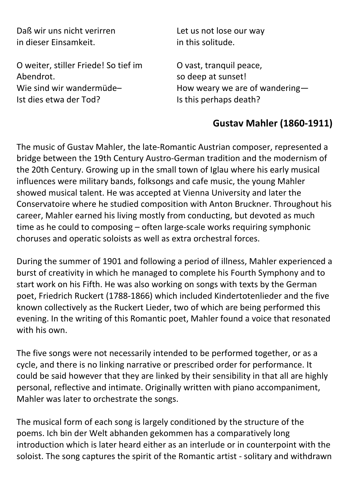Daß wir uns nicht verirren in dieser Einsamkeit.

O weiter, stiller Friede! So tief im Abendrot. Wie sind wir wandermüde– Ist dies etwa der Tod?

Let us not lose our way in this solitude.

O vast, tranquil peace, so deep at sunset! How weary we are of wandering— Is this perhaps death?

### Gustav Mahler (1860-1911)

The music of Gustav Mahler, the late-Romantic Austrian composer, represented a bridge between the 19th Century Austro-German tradition and the modernism of the 20th Century. Growing up in the small town of Iglau where his early musical influences were military bands, folksongs and cafe music, the young Mahler showed musical talent. He was accepted at Vienna University and later the Conservatoire where he studied composition with Anton Bruckner. Throughout his career, Mahler earned his living mostly from conducting, but devoted as much time as he could to composing – often large-scale works requiring symphonic choruses and operatic soloists as well as extra orchestral forces.

During the summer of 1901 and following a period of illness, Mahler experienced a burst of creativity in which he managed to complete his Fourth Symphony and to start work on his Fifth. He was also working on songs with texts by the German poet, Friedrich Ruckert (1788-1866) which included Kindertotenlieder and the five known collectively as the Ruckert Lieder, two of which are being performed this evening. In the writing of this Romantic poet, Mahler found a voice that resonated with his own.

The five songs were not necessarily intended to be performed together, or as a cycle, and there is no linking narrative or prescribed order for performance. It could be said however that they are linked by their sensibility in that all are highly personal, reflective and intimate. Originally written with piano accompaniment, Mahler was later to orchestrate the songs.

The musical form of each song is largely conditioned by the structure of the poems. Ich bin der Welt abhanden gekommen has a comparatively long introduction which is later heard either as an interlude or in counterpoint with the soloist. The song captures the spirit of the Romantic artist - solitary and withdrawn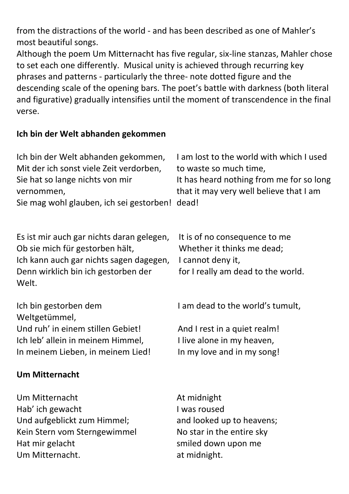from the distractions of the world - and has been described as one of Mahler's most beautiful songs.

Although the poem Um Mitternacht has five regular, six-line stanzas, Mahler chose to set each one differently. Musical unity is achieved through recurring key phrases and patterns - particularly the three- note dotted figure and the descending scale of the opening bars. The poet's battle with darkness (both literal and figurative) gradually intensifies until the moment of transcendence in the final verse.

#### Ich bin der Welt abhanden gekommen

| Ich bin der Welt abhanden gekommen,<br>Mit der ich sonst viele Zeit verdorben,<br>Sie hat so lange nichts von mir<br>vernommen,<br>Sie mag wohl glauben, ich sei gestorben! dead! | I am lost to the world with which I used<br>to waste so much time,<br>It has heard nothing from me for so long<br>that it may very well believe that I am |  |  |
|-----------------------------------------------------------------------------------------------------------------------------------------------------------------------------------|-----------------------------------------------------------------------------------------------------------------------------------------------------------|--|--|
| Es ist mir auch gar nichts daran gelegen,<br>Ob sie mich für gestorben hält,<br>Ich kann auch gar nichts sagen dagegen,<br>Denn wirklich bin ich gestorben der<br>Welt.           | It is of no consequence to me<br>Whether it thinks me dead;<br>I cannot deny it,<br>for I really am dead to the world.                                    |  |  |
| Ich bin gestorben dem<br>Weltgetümmel,                                                                                                                                            | I am dead to the world's tumult,                                                                                                                          |  |  |
| Und ruh' in einem stillen Gebiet!                                                                                                                                                 | And I rest in a quiet realm!                                                                                                                              |  |  |
| Ich leb' allein in meinem Himmel,                                                                                                                                                 | I live alone in my heaven,                                                                                                                                |  |  |
| In meinem Lieben, in meinem Lied!                                                                                                                                                 | In my love and in my song!                                                                                                                                |  |  |
| <b>Um Mitternacht</b>                                                                                                                                                             |                                                                                                                                                           |  |  |
| Um Mitternacht                                                                                                                                                                    | At midnight                                                                                                                                               |  |  |
| Hab' ich gewacht                                                                                                                                                                  | I was roused                                                                                                                                              |  |  |
| Und aufgeblickt zum Himmel;                                                                                                                                                       | and looked up to heavens;                                                                                                                                 |  |  |
| Kein Stern vom Sterngewimmel                                                                                                                                                      | No star in the entire sky                                                                                                                                 |  |  |
| Hat mir gelacht                                                                                                                                                                   | smiled down upon me                                                                                                                                       |  |  |
| Um Mitternacht.<br>at midnight.                                                                                                                                                   |                                                                                                                                                           |  |  |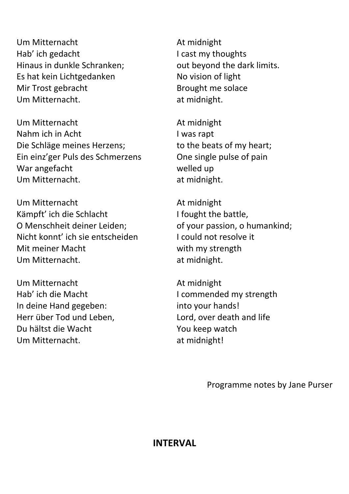Um Mitternacht Hab' ich gedacht Hinaus in dunkle Schranken; Es hat kein Lichtgedanken Mir Trost gebracht Um Mitternacht.

Um Mitternacht Nahm ich in Acht Die Schläge meines Herzens; Ein einz'ger Puls des Schmerzens War angefacht Um Mitternacht.

Um Mitternacht Kämpft' ich die Schlacht O Menschheit deiner Leiden; Nicht konnt' ich sie entscheiden Mit meiner Macht Um Mitternacht.

Um Mitternacht Hab' ich die Macht In deine Hand gegeben: Herr über Tod und Leben, Du hältst die Wacht Um Mitternacht.

At midnight I cast my thoughts out beyond the dark limits. No vision of light Brought me solace at midnight.

At midnight I was rapt to the beats of my heart; One single pulse of pain welled up at midnight.

At midnight I fought the battle, of your passion, o humankind; I could not resolve it with my strength at midnight.

At midnight I commended my strength into your hands! Lord, over death and life You keep watch at midnight!

Programme notes by Jane Purser

#### INTERVAL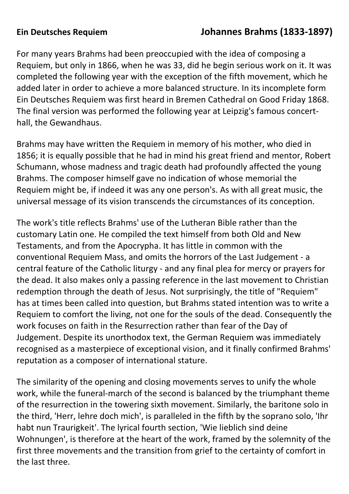## Ein Deutsches Requiem Johannes Brahms (1833-1897)

For many years Brahms had been preoccupied with the idea of composing a Requiem, but only in 1866, when he was 33, did he begin serious work on it. It was completed the following year with the exception of the fifth movement, which he added later in order to achieve a more balanced structure. In its incomplete form Ein Deutsches Requiem was first heard in Bremen Cathedral on Good Friday 1868. The final version was performed the following year at Leipzig's famous concerthall, the Gewandhaus.

Brahms may have written the Requiem in memory of his mother, who died in 1856; it is equally possible that he had in mind his great friend and mentor, Robert Schumann, whose madness and tragic death had profoundly affected the young Brahms. The composer himself gave no indication of whose memorial the Requiem might be, if indeed it was any one person's. As with all great music, the universal message of its vision transcends the circumstances of its conception.

The work's title reflects Brahms' use of the Lutheran Bible rather than the customary Latin one. He compiled the text himself from both Old and New Testaments, and from the Apocrypha. It has little in common with the conventional Requiem Mass, and omits the horrors of the Last Judgement - a central feature of the Catholic liturgy - and any final plea for mercy or prayers for the dead. It also makes only a passing reference in the last movement to Christian redemption through the death of Jesus. Not surprisingly, the title of "Requiem" has at times been called into question, but Brahms stated intention was to write a Requiem to comfort the living, not one for the souls of the dead. Consequently the work focuses on faith in the Resurrection rather than fear of the Day of Judgement. Despite its unorthodox text, the German Requiem was immediately recognised as a masterpiece of exceptional vision, and it finally confirmed Brahms' reputation as a composer of international stature.

The similarity of the opening and closing movements serves to unify the whole work, while the funeral-march of the second is balanced by the triumphant theme of the resurrection in the towering sixth movement. Similarly, the baritone solo in the third, 'Herr, lehre doch mich', is paralleled in the fifth by the soprano solo, 'Ihr habt nun Traurigkeit'. The lyrical fourth section, 'Wie lieblich sind deine Wohnungen', is therefore at the heart of the work, framed by the solemnity of the first three movements and the transition from grief to the certainty of comfort in the last three.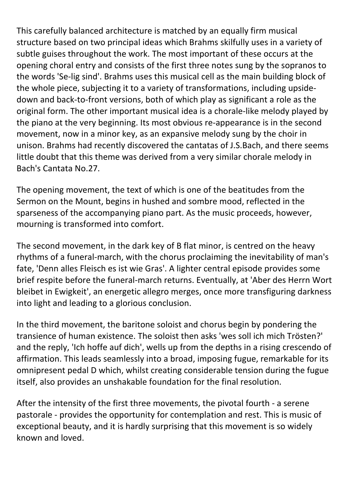This carefully balanced architecture is matched by an equally firm musical structure based on two principal ideas which Brahms skilfully uses in a variety of subtle guises throughout the work. The most important of these occurs at the opening choral entry and consists of the first three notes sung by the sopranos to the words 'Se-lig sind'. Brahms uses this musical cell as the main building block of the whole piece, subjecting it to a variety of transformations, including upsidedown and back-to-front versions, both of which play as significant a role as the original form. The other important musical idea is a chorale-like melody played by the piano at the very beginning. Its most obvious re-appearance is in the second movement, now in a minor key, as an expansive melody sung by the choir in unison. Brahms had recently discovered the cantatas of J.S.Bach, and there seems little doubt that this theme was derived from a very similar chorale melody in Bach's Cantata No.27.

The opening movement, the text of which is one of the beatitudes from the Sermon on the Mount, begins in hushed and sombre mood, reflected in the sparseness of the accompanying piano part. As the music proceeds, however, mourning is transformed into comfort.

The second movement, in the dark key of B flat minor, is centred on the heavy rhythms of a funeral-march, with the chorus proclaiming the inevitability of man's fate, 'Denn alles Fleisch es ist wie Gras'. A lighter central episode provides some brief respite before the funeral-march returns. Eventually, at 'Aber des Herrn Wort bleibet in Ewigkeit', an energetic allegro merges, once more transfiguring darkness into light and leading to a glorious conclusion.

In the third movement, the baritone soloist and chorus begin by pondering the transience of human existence. The soloist then asks 'wes soll ich mich Trösten?' and the reply, 'Ich hoffe auf dich', wells up from the depths in a rising crescendo of affirmation. This leads seamlessly into a broad, imposing fugue, remarkable for its omnipresent pedal D which, whilst creating considerable tension during the fugue itself, also provides an unshakable foundation for the final resolution.

After the intensity of the first three movements, the pivotal fourth - a serene pastorale - provides the opportunity for contemplation and rest. This is music of exceptional beauty, and it is hardly surprising that this movement is so widely known and loved.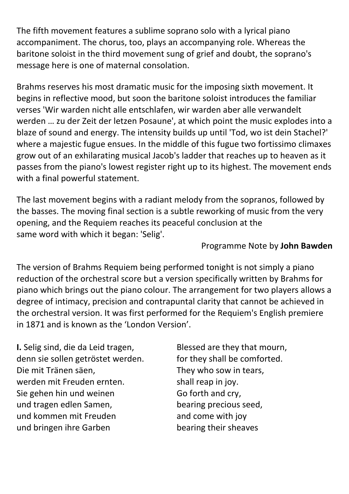The fifth movement features a sublime soprano solo with a lyrical piano accompaniment. The chorus, too, plays an accompanying role. Whereas the baritone soloist in the third movement sung of grief and doubt, the soprano's message here is one of maternal consolation.

Brahms reserves his most dramatic music for the imposing sixth movement. It begins in reflective mood, but soon the baritone soloist introduces the familiar verses 'Wir warden nicht alle entschlafen, wir warden aber alle verwandelt werden … zu der Zeit der letzen Posaune', at which point the music explodes into a blaze of sound and energy. The intensity builds up until 'Tod, wo ist dein Stachel?' where a majestic fugue ensues. In the middle of this fugue two fortissimo climaxes grow out of an exhilarating musical Jacob's ladder that reaches up to heaven as it passes from the piano's lowest register right up to its highest. The movement ends with a final powerful statement.

The last movement begins with a radiant melody from the sopranos, followed by the basses. The moving final section is a subtle reworking of music from the very opening, and the Requiem reaches its peaceful conclusion at the same word with which it began: 'Selig'.

#### Programme Note by John Bawden

The version of Brahms Requiem being performed tonight is not simply a piano reduction of the orchestral score but a version specifically written by Brahms for piano which brings out the piano colour. The arrangement for two players allows a degree of intimacy, precision and contrapuntal clarity that cannot be achieved in the orchestral version. It was first performed for the Requiem's English premiere in 1871 and is known as the 'London Version'.

I. Selig sind, die da Leid tragen, denn sie sollen getröstet werden. Die mit Tränen säen, werden mit Freuden ernten. Sie gehen hin und weinen und tragen edlen Samen, und kommen mit Freuden und bringen ihre Garben

Blessed are they that mourn, for they shall be comforted. They who sow in tears, shall reap in joy. Go forth and cry, bearing precious seed, and come with joy bearing their sheaves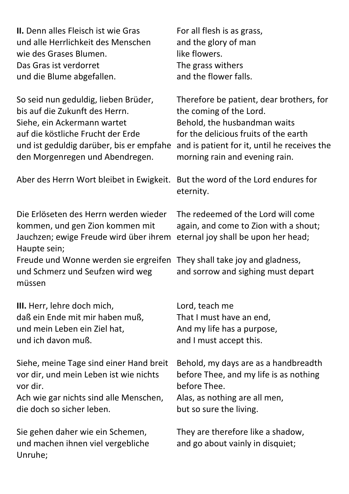| <b>II.</b> Denn alles Fleisch ist wie Gras                                                                                                                                  | For all flesh is as grass,                                                                                                                              |  |
|-----------------------------------------------------------------------------------------------------------------------------------------------------------------------------|---------------------------------------------------------------------------------------------------------------------------------------------------------|--|
| und alle Herrlichkeit des Menschen                                                                                                                                          | and the glory of man                                                                                                                                    |  |
| wie des Grases Blumen.                                                                                                                                                      | like flowers.                                                                                                                                           |  |
| Das Gras ist verdorret                                                                                                                                                      | The grass withers                                                                                                                                       |  |
| und die Blume abgefallen.                                                                                                                                                   | and the flower falls.                                                                                                                                   |  |
| So seid nun geduldig, lieben Brüder,                                                                                                                                        | Therefore be patient, dear brothers, for                                                                                                                |  |
| bis auf die Zukunft des Herrn.                                                                                                                                              | the coming of the Lord.                                                                                                                                 |  |
| Siehe, ein Ackermann wartet                                                                                                                                                 | Behold, the husbandman waits                                                                                                                            |  |
| auf die köstliche Frucht der Erde                                                                                                                                           | for the delicious fruits of the earth                                                                                                                   |  |
| und ist geduldig darüber, bis er empfahe                                                                                                                                    | and is patient for it, until he receives the                                                                                                            |  |
| den Morgenregen und Abendregen.                                                                                                                                             | morning rain and evening rain.                                                                                                                          |  |
| Aber des Herrn Wort bleibet in Ewigkeit. But the word of the Lord endures for                                                                                               | eternity.                                                                                                                                               |  |
| Die Erlöseten des Herrn werden wieder<br>kommen, und gen Zion kommen mit<br>Jauchzen; ewige Freude wird über ihrem<br>Haupte sein;<br>Freude und Wonne werden sie ergreifen | The redeemed of the Lord will come<br>again, and come to Zion with a shout;<br>eternal joy shall be upon her head;<br>They shall take joy and gladness, |  |
| und Schmerz und Seufzen wird weg<br>müssen                                                                                                                                  | and sorrow and sighing must depart                                                                                                                      |  |
| <b>III.</b> Herr, lehre doch mich,                                                                                                                                          | Lord, teach me                                                                                                                                          |  |
| daß ein Ende mit mir haben muß,                                                                                                                                             | That I must have an end,                                                                                                                                |  |
| und mein Leben ein Ziel hat,                                                                                                                                                | And my life has a purpose,                                                                                                                              |  |
| und ich davon muß.                                                                                                                                                          | and I must accept this.                                                                                                                                 |  |
| Siehe, meine Tage sind einer Hand breit                                                                                                                                     | Behold, my days are as a handbreadth                                                                                                                    |  |
| vor dir, und mein Leben ist wie nichts                                                                                                                                      | before Thee, and my life is as nothing                                                                                                                  |  |
| vor dir.                                                                                                                                                                    | before Thee.                                                                                                                                            |  |
| Ach wie gar nichts sind alle Menschen,                                                                                                                                      | Alas, as nothing are all men,                                                                                                                           |  |
| die doch so sicher leben.                                                                                                                                                   | but so sure the living.                                                                                                                                 |  |
| Sie gehen daher wie ein Schemen,<br>und machen ihnen viel vergebliche<br>Unruhe;                                                                                            | They are therefore like a shadow,<br>and go about vainly in disquiet;                                                                                   |  |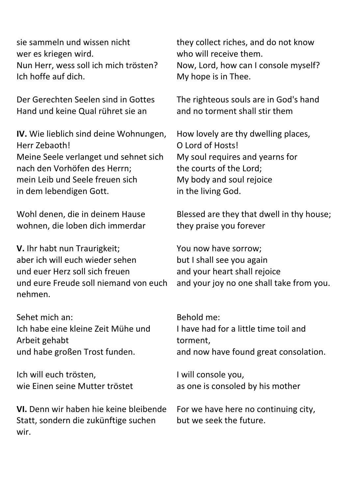sie sammeln und wissen nicht wer es kriegen wird. Nun Herr, wess soll ich mich trösten? Ich hoffe auf dich.

Der Gerechten Seelen sind in Gottes Hand und keine Qual rühret sie an

IV. Wie lieblich sind deine Wohnungen, Herr Zebaoth! Meine Seele verlanget und sehnet sich nach den Vorhöfen des Herrn; mein Leib und Seele freuen sich in dem lebendigen Gott.

Wohl denen, die in deinem Hause wohnen, die loben dich immerdar

V. Ihr habt nun Traurigkeit; aber ich will euch wieder sehen und euer Herz soll sich freuen und eure Freude soll niemand von euch nehmen.

Sehet mich an: Ich habe eine kleine Zeit Mühe und Arbeit gehabt und habe großen Trost funden.

Ich will euch trösten, wie Einen seine Mutter tröstet

VI. Denn wir haben hie keine bleibende Statt, sondern die zukünftige suchen wir.

they collect riches, and do not know who will receive them. Now, Lord, how can I console myself? My hope is in Thee.

The righteous souls are in God's hand and no torment shall stir them

How lovely are thy dwelling places, O Lord of Hosts! My soul requires and yearns for the courts of the Lord; My body and soul rejoice in the living God.

Blessed are they that dwell in thy house; they praise you forever

You now have sorrow; but I shall see you again and your heart shall rejoice and your joy no one shall take from you.

Behold me: I have had for a little time toil and torment, and now have found great consolation.

I will console you, as one is consoled by his mother

For we have here no continuing city, but we seek the future.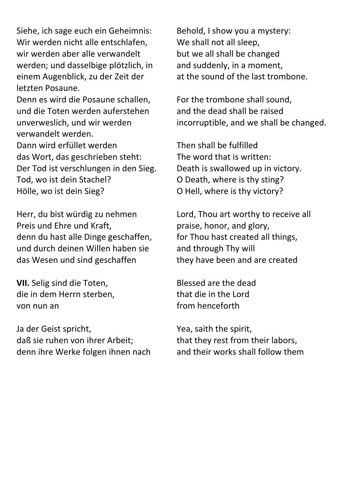Siehe, ich sage euch ein Geheimnis: Wir werden nicht alle entschlafen, wir werden aber alle verwandelt werden; und dasselbige plötzlich, in einem Augenblick, zu der Zeit der letzten Posaune.

Denn es wird die Posaune schallen, und die Toten werden auferstehen unverweslich, und wir werden verwandelt werden. Dann wird erfüllet werden das Wort, das geschrieben steht: Der Tod ist verschlungen in den Sieg. Tod, wo ist dein Stachel? Hölle, wo ist dein Sieg?

Herr, du bist würdig zu nehmen Preis und Ehre und Kraft, denn du hast alle Dinge geschaffen, und durch deinen Willen haben sie das Wesen und sind geschaffen

VII. Selig sind die Toten, die in dem Herrn sterben, von nun an

Ja der Geist spricht, daß sie ruhen von ihrer Arbeit; denn ihre Werke folgen ihnen nach Behold, I show you a mystery: We shall not all sleep, but we all shall be changed and suddenly, in a moment, at the sound of the last trombone.

For the trombone shall sound, and the dead shall be raised incorruptible, and we shall be changed.

Then shall be fulfilled The word that is written: Death is swallowed up in victory. O Death, where is thy sting? O Hell, where is thy victory?

Lord, Thou art worthy to receive all praise, honor, and glory, for Thou hast created all things, and through Thy will they have been and are created

Blessed are the dead that die in the Lord from henceforth

Yea, saith the spirit, that they rest from their labors, and their works shall follow them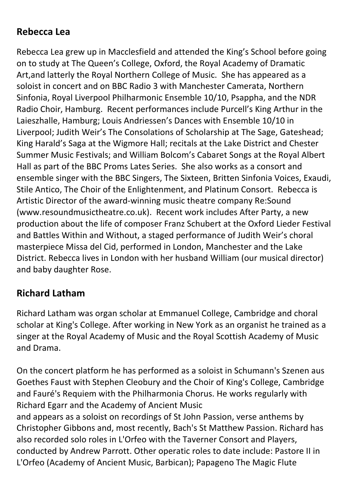#### Rebecca Lea

Rebecca Lea grew up in Macclesfield and attended the King's School before going on to study at The Queen's College, Oxford, the Royal Academy of Dramatic Art,and latterly the Royal Northern College of Music. She has appeared as a soloist in concert and on BBC Radio 3 with Manchester Camerata, Northern Sinfonia, Royal Liverpool Philharmonic Ensemble 10/10, Psappha, and the NDR Radio Choir, Hamburg. Recent performances include Purcell's King Arthur in the Laieszhalle, Hamburg; Louis Andriessen's Dances with Ensemble 10/10 in Liverpool; Judith Weir's The Consolations of Scholarship at The Sage, Gateshead; King Harald's Saga at the Wigmore Hall; recitals at the Lake District and Chester Summer Music Festivals; and William Bolcom's Cabaret Songs at the Royal Albert Hall as part of the BBC Proms Lates Series. She also works as a consort and ensemble singer with the BBC Singers, The Sixteen, Britten Sinfonia Voices, Exaudi, Stile Antico, The Choir of the Enlightenment, and Platinum Consort. Rebecca is Artistic Director of the award-winning music theatre company Re:Sound (www.resoundmusictheatre.co.uk). Recent work includes After Party, a new production about the life of composer Franz Schubert at the Oxford Lieder Festival and Battles Within and Without, a staged performance of Judith Weir's choral masterpiece Missa del Cid, performed in London, Manchester and the Lake District. Rebecca lives in London with her husband William (our musical director) and baby daughter Rose.

### Richard Latham

Richard Latham was organ scholar at Emmanuel College, Cambridge and choral scholar at King's College. After working in New York as an organist he trained as a singer at the Royal Academy of Music and the Royal Scottish Academy of Music and Drama.

On the concert platform he has performed as a soloist in Schumann's Szenen aus Goethes Faust with Stephen Cleobury and the Choir of King's College, Cambridge and Fauré's Requiem with the Philharmonia Chorus. He works regularly with Richard Egarr and the Academy of Ancient Music

and appears as a soloist on recordings of St John Passion, verse anthems by Christopher Gibbons and, most recently, Bach's St Matthew Passion. Richard has also recorded solo roles in L'Orfeo with the Taverner Consort and Players, conducted by Andrew Parrott. Other operatic roles to date include: Pastore II in L'Orfeo (Academy of Ancient Music, Barbican); Papageno The Magic Flute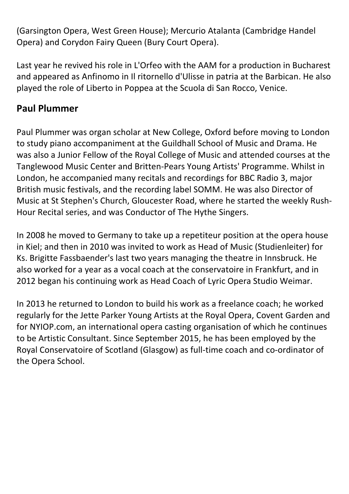(Garsington Opera, West Green House); Mercurio Atalanta (Cambridge Handel Opera) and Corydon Fairy Queen (Bury Court Opera).

Last year he revived his role in L'Orfeo with the AAM for a production in Bucharest and appeared as Anfinomo in Il ritornello d'Ulisse in patria at the Barbican. He also played the role of Liberto in Poppea at the Scuola di San Rocco, Venice.

#### Paul Plummer

Paul Plummer was organ scholar at New College, Oxford before moving to London to study piano accompaniment at the Guildhall School of Music and Drama. He was also a Junior Fellow of the Royal College of Music and attended courses at the Tanglewood Music Center and Britten-Pears Young Artists' Programme. Whilst in London, he accompanied many recitals and recordings for BBC Radio 3, major British music festivals, and the recording label SOMM. He was also Director of Music at St Stephen's Church, Gloucester Road, where he started the weekly Rush-Hour Recital series, and was Conductor of The Hythe Singers.

In 2008 he moved to Germany to take up a repetiteur position at the opera house in Kiel; and then in 2010 was invited to work as Head of Music (Studienleiter) for Ks. Brigitte Fassbaender's last two years managing the theatre in Innsbruck. He also worked for a year as a vocal coach at the conservatoire in Frankfurt, and in 2012 began his continuing work as Head Coach of Lyric Opera Studio Weimar.

In 2013 he returned to London to build his work as a freelance coach; he worked regularly for the Jette Parker Young Artists at the Royal Opera, Covent Garden and for NYIOP.com, an international opera casting organisation of which he continues to be Artistic Consultant. Since September 2015, he has been employed by the Royal Conservatoire of Scotland (Glasgow) as full-time coach and co-ordinator of the Opera School.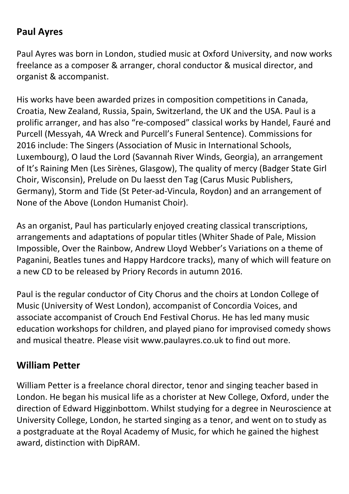### Paul Ayres

Paul Ayres was born in London, studied music at Oxford University, and now works freelance as a composer & arranger, choral conductor & musical director, and organist & accompanist.

His works have been awarded prizes in composition competitions in Canada, Croatia, New Zealand, Russia, Spain, Switzerland, the UK and the USA. Paul is a prolific arranger, and has also "re-composed" classical works by Handel, Fauré and Purcell (Messyah, 4A Wreck and Purcell's Funeral Sentence). Commissions for 2016 include: The Singers (Association of Music in International Schools, Luxembourg), O laud the Lord (Savannah River Winds, Georgia), an arrangement of It's Raining Men (Les Sirènes, Glasgow), The quality of mercy (Badger State Girl Choir, Wisconsin), Prelude on Du laesst den Tag (Carus Music Publishers, Germany), Storm and Tide (St Peter-ad-Vincula, Roydon) and an arrangement of None of the Above (London Humanist Choir).

As an organist, Paul has particularly enjoyed creating classical transcriptions, arrangements and adaptations of popular titles (Whiter Shade of Pale, Mission Impossible, Over the Rainbow, Andrew Lloyd Webber's Variations on a theme of Paganini, Beatles tunes and Happy Hardcore tracks), many of which will feature on a new CD to be released by Priory Records in autumn 2016.

Paul is the regular conductor of City Chorus and the choirs at London College of Music (University of West London), accompanist of Concordia Voices, and associate accompanist of Crouch End Festival Chorus. He has led many music education workshops for children, and played piano for improvised comedy shows and musical theatre. Please visit www.paulayres.co.uk to find out more.

#### William Petter

William Petter is a freelance choral director, tenor and singing teacher based in London. He began his musical life as a chorister at New College, Oxford, under the direction of Edward Higginbottom. Whilst studying for a degree in Neuroscience at University College, London, he started singing as a tenor, and went on to study as a postgraduate at the Royal Academy of Music, for which he gained the highest award, distinction with DipRAM.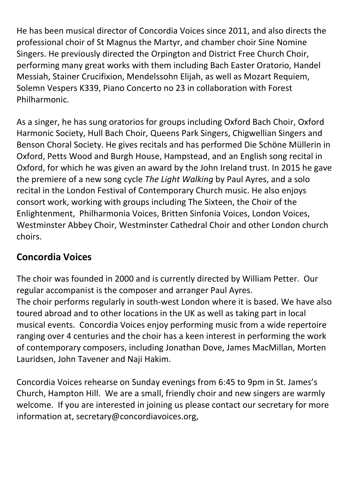He has been musical director of Concordia Voices since 2011, and also directs the professional choir of St Magnus the Martyr, and chamber choir Sine Nomine Singers. He previously directed the Orpington and District Free Church Choir, performing many great works with them including Bach Easter Oratorio, Handel Messiah, Stainer Crucifixion, Mendelssohn Elijah, as well as Mozart Requiem, Solemn Vespers K339, Piano Concerto no 23 in collaboration with Forest Philharmonic.

As a singer, he has sung oratorios for groups including Oxford Bach Choir, Oxford Harmonic Society, Hull Bach Choir, Queens Park Singers, Chigwellian Singers and Benson Choral Society. He gives recitals and has performed Die Schöne Müllerin in Oxford, Petts Wood and Burgh House, Hampstead, and an English song recital in Oxford, for which he was given an award by the John Ireland trust. In 2015 he gave the premiere of a new song cycle The Light Walking by Paul Ayres, and a solo recital in the London Festival of Contemporary Church music. He also enjoys consort work, working with groups including The Sixteen, the Choir of the Enlightenment, Philharmonia Voices, Britten Sinfonia Voices, London Voices, Westminster Abbey Choir, Westminster Cathedral Choir and other London church choirs.

### Concordia Voices

The choir was founded in 2000 and is currently directed by William Petter. Our regular accompanist is the composer and arranger Paul Ayres. The choir performs regularly in south-west London where it is based. We have also toured abroad and to other locations in the UK as well as taking part in local musical events. Concordia Voices enjoy performing music from a wide repertoire ranging over 4 centuries and the choir has a keen interest in performing the work of contemporary composers, including Jonathan Dove, James MacMillan, Morten Lauridsen, John Tavener and Naji Hakim.

Concordia Voices rehearse on Sunday evenings from 6:45 to 9pm in St. James's Church, Hampton Hill. We are a small, friendly choir and new singers are warmly welcome. If you are interested in joining us please contact our secretary for more information at, secretary@concordiavoices.org,